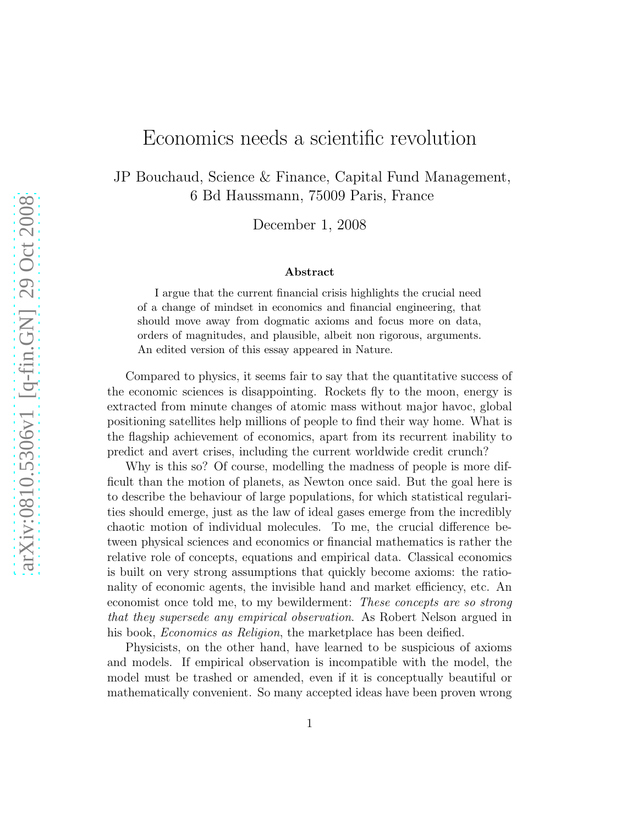## Economics needs a scientific revolution

JP Bouchaud, Science & Finance, Capital Fund Management, 6 Bd Haussmann, 75009 Paris, France

December 1, 2008

## Abstract

I argue that the current financial crisis highlights the crucial need of a change of mindset in economics and financial engineering, that should move away from dogmatic axioms and focus more on data, orders of magnitudes, and plausible, albeit non rigorous, arguments. An edited version of this essay appeared in Nature.

Compared to physics, it seems fair to say that the quantitative success of the economic sciences is disappointing. Rockets fly to the moon, energy is extracted from minute changes of atomic mass without major havoc, global positioning satellites help millions of people to find their way home. What is the flagship achievement of economics, apart from its recurrent inability to predict and avert crises, including the current worldwide credit crunch?

Why is this so? Of course, modelling the madness of people is more difficult than the motion of planets, as Newton once said. But the goal here is to describe the behaviour of large populations, for which statistical regularities should emerge, just as the law of ideal gases emerge from the incredibly chaotic motion of individual molecules. To me, the crucial difference between physical sciences and economics or financial mathematics is rather the relative role of concepts, equations and empirical data. Classical economics is built on very strong assumptions that quickly become axioms: the rationality of economic agents, the invisible hand and market efficiency, etc. An economist once told me, to my bewilderment: These concepts are so strong that they supersede any empirical observation. As Robert Nelson argued in his book, *Economics as Religion*, the marketplace has been deified.

Physicists, on the other hand, have learned to be suspicious of axioms and models. If empirical observation is incompatible with the model, the model must be trashed or amended, even if it is conceptually beautiful or mathematically convenient. So many accepted ideas have been proven wrong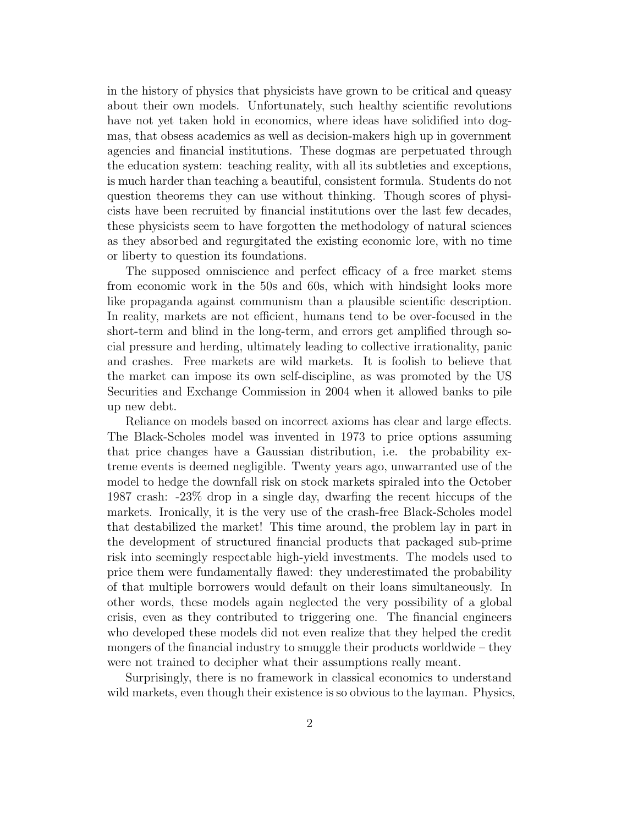in the history of physics that physicists have grown to be critical and queasy about their own models. Unfortunately, such healthy scientific revolutions have not yet taken hold in economics, where ideas have solidified into dogmas, that obsess academics as well as decision-makers high up in government agencies and financial institutions. These dogmas are perpetuated through the education system: teaching reality, with all its subtleties and exceptions, is much harder than teaching a beautiful, consistent formula. Students do not question theorems they can use without thinking. Though scores of physicists have been recruited by financial institutions over the last few decades, these physicists seem to have forgotten the methodology of natural sciences as they absorbed and regurgitated the existing economic lore, with no time or liberty to question its foundations.

The supposed omniscience and perfect efficacy of a free market stems from economic work in the 50s and 60s, which with hindsight looks more like propaganda against communism than a plausible scientific description. In reality, markets are not efficient, humans tend to be over-focused in the short-term and blind in the long-term, and errors get amplified through social pressure and herding, ultimately leading to collective irrationality, panic and crashes. Free markets are wild markets. It is foolish to believe that the market can impose its own self-discipline, as was promoted by the US Securities and Exchange Commission in 2004 when it allowed banks to pile up new debt.

Reliance on models based on incorrect axioms has clear and large effects. The Black-Scholes model was invented in 1973 to price options assuming that price changes have a Gaussian distribution, i.e. the probability extreme events is deemed negligible. Twenty years ago, unwarranted use of the model to hedge the downfall risk on stock markets spiraled into the October 1987 crash: -23% drop in a single day, dwarfing the recent hiccups of the markets. Ironically, it is the very use of the crash-free Black-Scholes model that destabilized the market! This time around, the problem lay in part in the development of structured financial products that packaged sub-prime risk into seemingly respectable high-yield investments. The models used to price them were fundamentally flawed: they underestimated the probability of that multiple borrowers would default on their loans simultaneously. In other words, these models again neglected the very possibility of a global crisis, even as they contributed to triggering one. The financial engineers who developed these models did not even realize that they helped the credit mongers of the financial industry to smuggle their products worldwide – they were not trained to decipher what their assumptions really meant.

Surprisingly, there is no framework in classical economics to understand wild markets, even though their existence is so obvious to the layman. Physics,